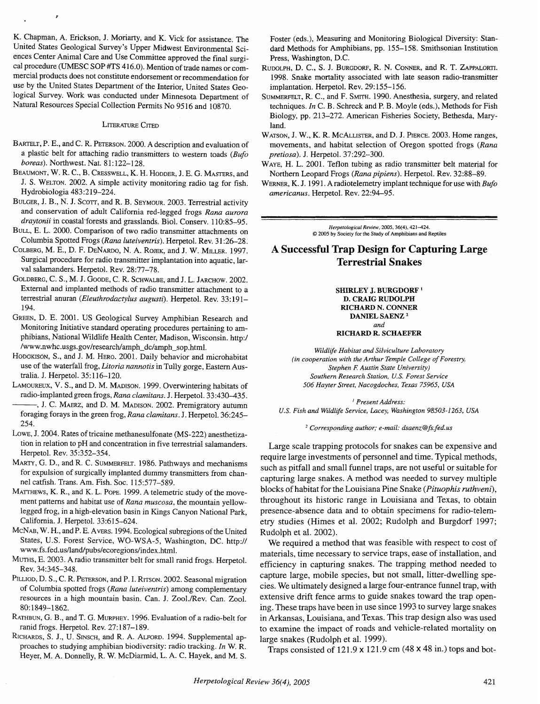K. Chapman, A. Erickson, J. Moriarty, and K. Vick for assistance. The United States Geological Survey's Upper Midwest Environmental Sciences Center Animal Care and Use Committee approved the final surgical procedure (UMESC SOP #TS 416.0). Mention of trade names or commercial products does not constitute endorsement or recommendation for use by the United States Department of the Interior, United States Geological Survey. Work was conducted under Minnesota Department of Natural Resources Special Collection Permits No 95 16 and 10870.

### **LITERATURE CITED**

- BARTELT, P. E., and C. R. PETERSON. 2000. A description and evaluation of a plastic belt for attaching radio transmitters to western toads  $(Bufo$ boreas). Northwest. Nat. 81:122-128.
- BEAUMONT, W. R. C., B. CRESSWELL, K. H. HODDER, J. E. G. MASTERS, and J. S. WELTON. 2002. A simple activity monitoring radio tag for fish. Hydrobiologia 483 :2 19-224.
- BULGER, J. B., N. J. SCOTT, and R. B. SEYMOUR. 2003. Terrestrial activity and conservation of adult California red-legged frogs Rana aurora draytonii in coastal forests and grasslands. Biol. Conserv. 110:85-95.
- BULL, E. L. 2000. Comparison of two radio transmitter attachments on Columbia Spotted Frogs (Rana luteiventris). Herpetol. Rev. 3 1:26-28.
- COLBERG, M. E., D. F. DENARDO, N. A. ROJEK, and J. W. MILLER. 1997. Surgical procedure for radio transmitter implantation into aquatic, larval salamanders. Herpetol. Rev. 28:77-78.
- GOLDBERG, C. S., M. J. GOODE, C. R. SCHWALBE, and J. L. JARCHOW. 2002. External and implanted methods of radio transmitter attachment to a terrestrial anuran (Eleuthrodactylus augusti). Herpetol. Rev. 33:191-194.
- GREEN, D. E. 2001. US Geological Survey Amphibian Research and Monitoring Initiative standard operating procedures pertaining to amphibians, National Wildlife Health Center, Madison, Wisconsin. http:/ **/www.nwhc.usgs.gov/research/amph~dc/amph~sop.html.**
- HODGKISON, S., and J. M. HERO. 2001. Daily behavior and microhabitat use of the waterfall frog, Litoria nannotis in Tully gorge, Eastern Australia. J. Herpetol. 35: 116-120.

LAMOUREUX, V. S., and D. M. MADISON. 1999. Overwintering habitats of radio-implanted green frogs, Rana clamitans. J. Herpetol. 33:430-435. , J. C. MAERZ, and D. M. MADISON. 2002. Premigratory autumn

foraging forays in the green frog, Rana clamitans. J. Herpetol. 36:245- 254.

LOWE, J. 2004. Rates of tricaine methanesulfonate (MS-222) anesthetization in relation to pH and concentration in five terrestrial salamanders. Herpetol. Rev. 35:352-354.

MARTY, G. D., and R. C. SUMMERFELT. 1986. Pathways and mechanisms for expulsion of surgically implanted dummy transmitters from channel catfish. Trans. Am. Fish. Soc. 115:577-589.

MATTHEWS, K. R., and K. L. POPE. 1999. A telemetric study of the movement patterns and habitat use of Rana muscosa, the mountain yellowlegged frog, in a high-elevation basin in Kings Canyon National Park, California. J. Herpetol. 33:6 15-624.

MCNAB, W. H., and P. E. AVERS. 1994. Ecological subregions of the United States, U.S. Forest Service, WO-WSA-5, Washington, DC. http:// We required a method that was feasible with respect to cost of www.fs.fed.us/land/pubs/ecoregions/index.html.

resources in a high mountain basin. Can. J. Zool./Rev. Can. Zool. 80:1849-1862.

RICHARDS, S. J., U. SINSCH, and R. A. ALFORD. 1994. Supplemental ap-<br>proaches to studying amphibian biodiversity: radio tracking. *In* W. R. Trans consisted of 121.0 × 121.0 Heyer, M. A. Donnelly, R. W. McDiarmid, L. A. C. Hayek, and M. S.

Foster (eds.), Measuring and Monitoring Biological Diversity: Standard Methods for Amphibians, pp. 155-158. Smithsonian Institution Press, Washington, D.C.

RUDOLPH, D.C., S. J. BURGDORF, R. N. CONNER, and R. **T.** ZAPPALORTI. 1998. Snake mortality associated with late season radio-transmitter implantation. Herpetol. Rev. 29:155-156.

SUMMERFELT, R. C., and F. SMITH. 1990. Anesthesia, surgery, and related techniques. In C. B. Schreck and P. B. Moyle (eds.), Methods for Fish Biology, pp. 213-272. American Fisheries Society, Bethesda, Maryland.

WATSON, J. W., K. R. MCALLISTER, and D. J. PIERCE. 2003. Home ranges, movements, and habitat selection of Oregon spotted frogs (Rana pretiosa). J. Herpetol. 37:292-300.

WAYE, H. L. 2001. Teflon tubing as radio transmitter belt material for Northern Leopard Frogs (Rana pipiens). Herpetol. Rev. 32:88-89.

WERNER, K. J. 1991. A radiotelemetry implant technique for use with  $Bufo$ americanus. Herpetol. Rev. 22:94-95.

> $Herpetological Review, 2005, 36(4), 421-424.$ O **2005 by Society for the** Study **of Amphibians** and **Reptiles**

## **A Successful Trap Design for Capturing Large Terrestrial Snakes**

**SHIRLEY J. BURGDORF** ' **D. CRAIG RUDOLPH RICHARD N. CONNER DANIEL SAENZ**  *and* 

#### **RICHARD R. SCHAEFER**

*Wildlife Habitat and Silviculture Laboratory (in cooperation with the Arthur Temple College of Forestry,*   $Stephen F.$  Austin State University) *Southern Research Station, U.S. Forest Service 506 Hayter Street, Nacogdoches, Texas 75965, USA* 

' *Present Address: U.S. Fish and Wildlife Service, Lacey, Washington 98503-1263, USA* 

*Corresponding author; e-mail: dsaenz* @ *fs. fed. us* 

Large scale trapping protocols for snakes can be expensive and require large investments of personnel and time. Typical methods, such as pitfall and small funnel traps, are not useful or suitable for capturing large snakes. A method was needed to survey multiple blocks of habitat for the Louisiana Pine Snake **(Pituophis ruthveni),**  throughout its historic range in Louisiana and Texas, to obtain presence-absence data and to obtain specimens for radio-telemetry studies (Himes et al. 2002; Rudolph and Burgdorf 1997; Rudolph et al. 2002).

WWW.fs.fed.us/land/pubs/ecoregions/index.html. **materials, time necessary to service traps**, ease of installation, and Murns, E. 2003. A radio transmitter belt for small ranid frogs. Herpetol. *efficiency* in conturing s NUTES, E. 2005. A Tauto transmitter belt for small ranid frogs. Herpetol.<br>Rev. 34:345–348.<br>PILLIOD, D. S., C. R. PETERSON, and P. I. RITSON. 2002. Seasonal migration capture large, mobile species, but not small, litter-dwe of Columbia spotted frogs (Rana luteiventris) among complementary<br>resources in a high mountain basin Can I Zool (Rey Can Zool) extensive drift fence arms to guide snakes toward the trap open-80:1849-1862.<br>RATHBUN, G. B., and T. G. MURPHEY. 1996. Evaluation of a radio-belt for in Arkansas, Louisiana, and Texas. This trap design also was used ATHBUN, G. B., and T. G. MURPHEY. 1996. Evaluation of a radio-belt for in Arkansas, Louisiana, and Texas. This trap design also was used<br>to examine the impact of roads and vehicle-related mortality on to examine the impact of roads and vehicle-related mortality on

Traps consisted of 121.9  $\times$  121.9 cm (48  $\times$  48 in.) tops and bot-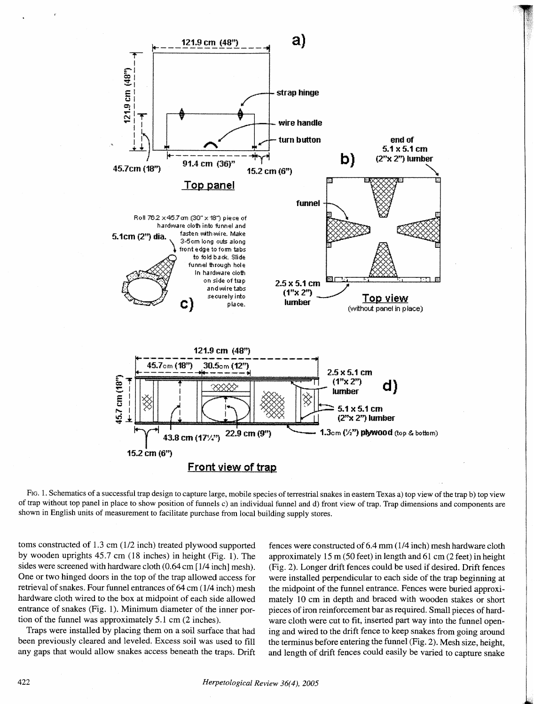

FIG. 1. Schematics of a successful trap design to capture large, mobile species of terrestrial snakes in eastern Texas a) top view of the trap b) top view of trap without top panel in place to show position of funnels c) an individual funnel and d) front view of trap. Trap dimensions and components are shown in English units of measurement to facilitate purchase from local building supply stores.

toms constructed of 1.3 cm (1/2 inch) treated plywood supported by wooden uprights 45.7 cm (18 inches) in height (Fig. 1). The sides were screened with hardware cloth (0.64 cm [1/4 inch] mesh). One or two hinged doors in the top of the trap allowed access for retrieval of snakes. Four funnel entrances of 64 cm (1/4 inch) mesh hardware cloth wired to the box at midpoint of each side allowed entrance of snakes (Fig. 1). Minimum diameter of the inner portion of the funnel was approximately 5.1 cm (2 inches).

Traps were installed by placing them on a soil surface that had been previously cleared and leveled. Excess soil was used to fill any gaps that would allow snakes access beneath the traps. Drift

fences were constructed of 6.4 mm (1/4 inch) mesh hardware cloth approximately 15 m (50 feet) in length and 61 cm (2 feet) in height (Fig. 2). Longer drift fences could be used if desired. Drift fences were installed perpendicular to each side of the trap beginning at the midpoint of the funnel entrance. Fences were buried approximately 10 cm in depth and braced with wooden stakes or short pieces of iron reinforcement bar as required. Small pieces of hardware cloth were cut to fit, inserted part way into the funnel opening and wired to the drift fence to keep snakes from going around the terminus before entering the funnel (Fig. 2). Mesh size, height, and length of drift fences could easily be varied to capture snake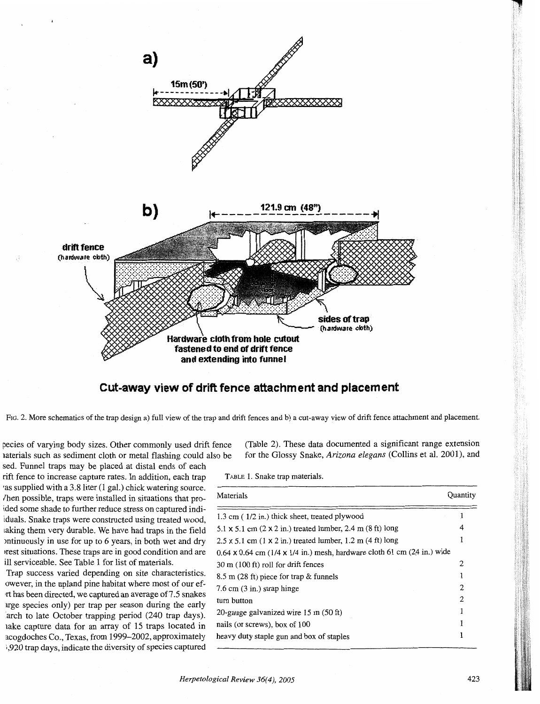

# **Cut-away view of drift fence attachment and placement**

FIG. 2. More schematics of the trap design a) full view of the trap and drift fences and b) a cut-away view of drift fence attachment and placement.

sed. Funnel traps may be placed,at distal ends of each rift fence to increase capture rates. In addition, each trap TABLE 1. Snake trap materials. as supplied with a  $3.8$  liter (1 gal.) chick watering source. Then possible, traps were installed in situations that proided some shade to further reduce stress on captured indiiduals. Snake traps were constructed using treated wood, laking them very durable. We have had traps in the field mtinuously in use for up to 6 years, in both wet and dry irest situations. These traps are in good condition and are ill serviceable. See Table 1 for list of materials.

Trap success varied depending on site characteristics. owever, in the upland pine habitat where most of our efrt has been directed, we captured an average of 7.5 snakes urge species only) per trap per season during the early arch to late October trapping period (240 trap days). lake capture data for an array of 15 traps located in acogdoches Co., Texas, from 1999-2002, approximately 1,920 trap days, indicate the diversity of species captured

pecies of varying body sizes. Other commonly used drift fence (Table 2). These data documented a significant range extension laterials such as sediment cloth or metal flashing could also be for the Glossy Snake, Arizona *elegans* (Collins et al. 2001), and

| Materials                                                                          | Ouantity |
|------------------------------------------------------------------------------------|----------|
| 1.3 cm (1/2 in.) thick sheet, treated plywood                                      |          |
| $5.1 \times 5.1$ cm $(2 \times 2$ in.) treated lumber, 2.4 m $(8 \text{ ft})$ long |          |
| $2.5 \times 5.1$ cm (1 x 2 in.) treated lumber, 1.2 m (4 ft) long                  |          |
| $0.64 \times 0.64$ cm (1/4 x 1/4 in.) mesh, hardware cloth 61 cm (24 in.) wide     |          |
| 30 m (100 ft) roll for drift fences                                                | 2        |
| $8.5$ m (28 ft) piece for trap & funnels                                           |          |
| $7.6 \text{ cm}$ (3 in.) strap hinge                                               | 2        |
| turn button                                                                        | 2        |
| 20-gauge galvanized wire 15 m (50 ft)                                              |          |
| nails (or screws), box of 100                                                      |          |
| heavy duty staple gun and box of staples                                           |          |
|                                                                                    |          |